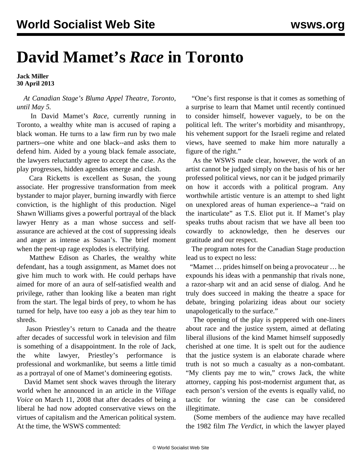## **David Mamet's** *Race* **in Toronto**

**Jack Miller 30 April 2013**

## *At Canadian Stage's Bluma Appel Theatre, Toronto, until May 5.*

 In David Mamet's *Race*, currently running in Toronto, a wealthy white man is accused of raping a black woman. He turns to a law firm run by two male partners--one white and one black--and asks them to defend him. Aided by a young black female associate, the lawyers reluctantly agree to accept the case. As the play progresses, hidden agendas emerge and clash.

 Cara Ricketts is excellent as Susan, the young associate. Her progressive transformation from meek bystander to major player, burning inwardly with fierce conviction, is the highlight of this production. Nigel Shawn Williams gives a powerful portrayal of the black lawyer Henry as a man whose success and selfassurance are achieved at the cost of suppressing ideals and anger as intense as Susan's. The brief moment when the pent-up rage explodes is electrifying.

 Matthew Edison as Charles, the wealthy white defendant, has a tough assignment, as Mamet does not give him much to work with. He could perhaps have aimed for more of an aura of self-satisfied wealth and privilege, rather than looking like a beaten man right from the start. The legal birds of prey, to whom he has turned for help, have too easy a job as they tear him to shreds.

 Jason Priestley's return to Canada and the theatre after decades of successful work in television and film is something of a disappointment. In the role of Jack, the white lawyer, Priestley's performance is professional and workmanlike, but seems a little timid as a portrayal of one of Mamet's domineering egotists.

 David Mamet sent shock waves through the literary world when he announced in an article in the *Village Voice* on March 11, 2008 that after decades of being a liberal he had now adopted conservative views on the virtues of capitalism and the American political system. At the time, [the WSWS commented](/en/articles/2008/03/mame-m31.html):

 "One's first response is that it comes as something of a surprise to learn that Mamet until recently continued to consider himself, however vaguely, to be on the political left. The writer's morbidity and misanthropy, his vehement support for the Israeli regime and related views, have seemed to make him more naturally a figure of the right."

 As the WSWS made clear, however, the work of an artist cannot be judged simply on the basis of his or her professed political views, nor can it be judged primarily on how it accords with a political program. Any worthwhile artistic venture is an attempt to shed light on unexplored areas of human experience--a "raid on the inarticulate" as T.S. Eliot put it. If Mamet's play speaks truths about racism that we have all been too cowardly to acknowledge, then he deserves our gratitude and our respect.

 The program notes for the Canadian Stage production lead us to expect no less:

 "Mamet … prides himself on being a provocateur … he expounds his ideas with a penmanship that rivals none, a razor-sharp wit and an acid sense of dialog. And he truly does succeed in making the theatre a space for debate, bringing polarizing ideas about our society unapologetically to the surface."

 The opening of the play is peppered with one-liners about race and the justice system, aimed at deflating liberal illusions of the kind Mamet himself supposedly cherished at one time. It is spelt out for the audience that the justice system is an elaborate charade where truth is not so much a casualty as a non-combatant. "My clients pay me to win," crows Jack, the white attorney, capping his post-modernist argument that, as each person's version of the events is equally valid, no tactic for winning the case can be considered illegitimate.

 (Some members of the audience may have recalled the 1982 film *The Verdict*, in which the lawyer played